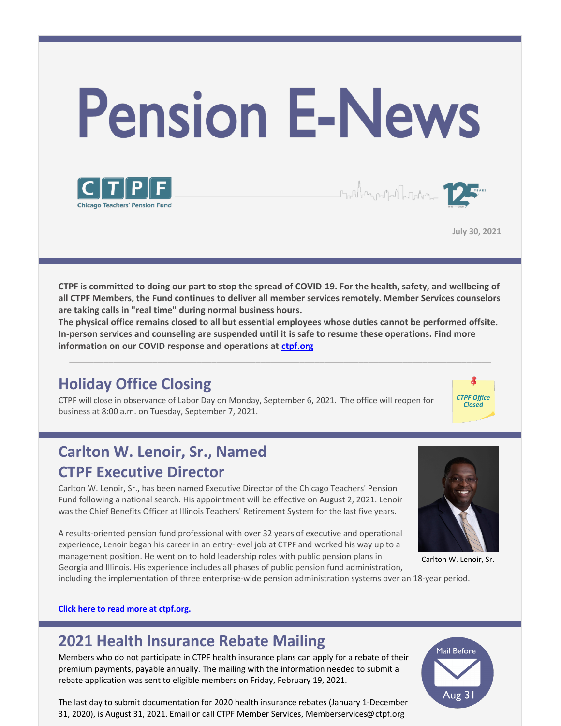



**July 30, 2021**

 $\text{Im} \mathbb{E} \left[ \mathbf{1}_{\mathcal{M} \times \mathcal{M}} \right] = \mathbf{1}_{\mathcal{M} \times \mathcal{M} \times \mathcal{M}}$ 

CTPF is committed to doing our part to stop the spread of COVID-19. For the health, safety, and wellbeing of **all CTPF Members, the Fund continues to deliver all member services remotely. Member Services counselors are taking calls in "real time" during normal business hours.**

**The physical office remains closed to all but essential employees whose duties cannot be performed offsite. In-person services and counseling are suspended until it is safe to resume these operations. Find more information on our COVID response and operations at [ctpf.org](http://www.ctpf.org)**

\_\_\_\_\_\_\_\_\_\_\_\_\_\_\_\_\_\_\_\_\_\_\_\_\_\_\_\_\_\_\_\_\_\_\_\_\_\_\_\_\_\_\_\_\_\_\_\_\_\_\_\_\_\_\_\_\_\_\_\_\_\_\_\_\_\_\_\_\_\_\_\_\_\_\_\_\_\_\_\_\_\_\_\_\_\_

## **Holiday Office Closing**

CTPF will close in observance of Labor Day on Monday, September 6, 2021. The office will reopen for business at 8:00 a.m. on Tuesday, September 7, 2021.



# **Carlton W. Lenoir, Sr., Named CTPF Executive Director**

Carlton W. Lenoir, Sr., has been named Executive Director of the Chicago Teachers' Pension Fund following a national search. His appointment will be effective on August 2, 2021. Lenoir was the Chief Benefits Officer at Illinois Teachers' Retirement System for the last five years.

A results-oriented pension fund professional with over 32 years of executive and operational experience, Lenoir began his career in an entry-level job at CTPF and worked his way up to a management position. He went on to hold leadership roles with public pension plans in Georgia and Illinois. His experience includes all phases of public pension fund administration,



Carlton W. Lenoir, Sr.

including the implementation of three enterprise-wide pension administration systems over an 18-year period.

#### **Click here to read more at [ctpf.org.](https://www.ctpf.org/news/carlton-w-lenoir-sr-named-chicago-teachers-pension-fund-executive-director)**

## **2021 Health Insurance Rebate Mailing**

Members who do not participate in CTPF health insurance plans can apply for a rebate of their premium payments, payable annually. The mailing with the information needed to submit a rebate application was sent to eligible members on Friday, February 19, 2021.

The last day to submit documentation for 2020 health insurance rebates (January 1-December 31, 2020), is August 31, 2021. Email or call CTPF Member Services, Memberservices@ctpf.org

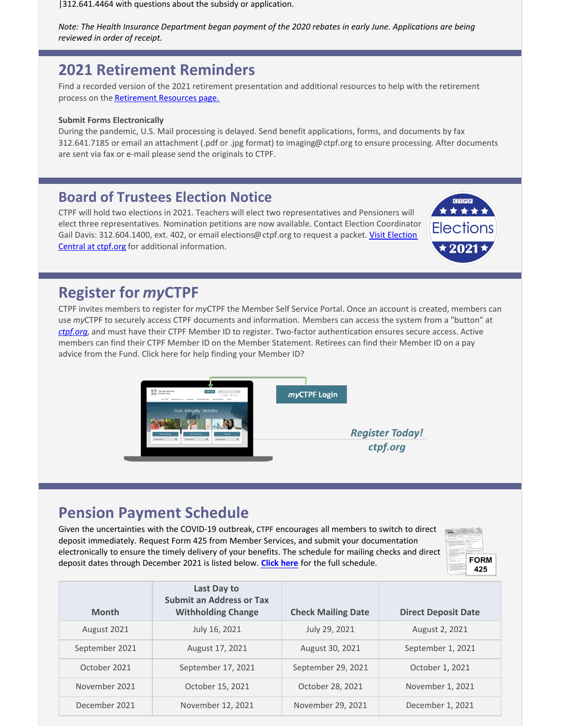|312.641.4464 with questions about the subsidy or application.

*Note: The Health Insurance Department began payment of the 2020 rebates in early June. Applications are being reviewed in order of receipt.*

### **2021 Retirement Reminders**

Find a recorded version of the 2021 retirement presentation and additional resources to help with the retirement process on the [Retirement Resources page.](https://www.ctpf.org/member-resources/active-members/retirement-resources)

#### **Submit Forms Electronically**

During the pandemic, U.S. Mail processing is delayed. Send benefit applications, forms, and documents by fax 312.641.7185 or email an attachment (.pdf or .jpg format) to imaging@ctpf.org to ensure processing. After documents are sent via fax or e-mail please send the originals to CTPF.

#### **Board of Trustees Election Notice**

CTPF will hold two elections in 2021. Teachers will elect two representatives and Pensioners will elect three representatives. Nomination petitions are now available. Contact Election Coordinator [Gail Davis: 312.604.1400, ext. 402, or email elections@ctpf.org to request a packet. Visit Election](https://www.ctpf.org/about-ctpf/election-central-2021) Central at ctpf.org for additional information.



### **Register for** *my***CTPF**

CTPF invites members to register for *my*CTPF the Member Self Service Portal. Once an account is created, members can use *my*CTPF to securely access CTPF documents and information. Members can access the system from a "button" at *[ctpf.org](http://www.ctpf.org)*, and must have their CTPF Member ID to register. Two-factor authentication ensures secure access. Active members can find their CTPF Member ID on the Member Statement. Retirees can find their Member ID on a pay advice from the Fund. Click here for help finding your Member ID?



### **Pension Payment Schedule**

Given the uncertainties with the COVID-19 outbreak, CTPF encourages all members to switch to direct deposit immediately. Request Form 425 from Member Services, and submit your documentation electronically to ensure the timely delivery of your benefits. The schedule for mailing checks and direct deposit dates through December 2021 is listed below. **[Click here](https://www.ctpf.org/pension-payments)** for the full schedule.



| <b>Month</b>   | Last Day to<br><b>Submit an Address or Tax</b><br><b>Withholding Change</b> | <b>Check Mailing Date</b> | <b>Direct Deposit Date</b> |
|----------------|-----------------------------------------------------------------------------|---------------------------|----------------------------|
| August 2021    | July 16, 2021                                                               | July 29, 2021             | August 2, 2021             |
| September 2021 | August 17, 2021                                                             | August 30, 2021           | September 1, 2021          |
| October 2021   | September 17, 2021                                                          | September 29, 2021        | October 1, 2021            |
| November 2021  | October 15, 2021                                                            | October 28, 2021          | November 1, 2021           |
| December 2021  | November 12, 2021                                                           | November 29, 2021         | December 1, 2021           |